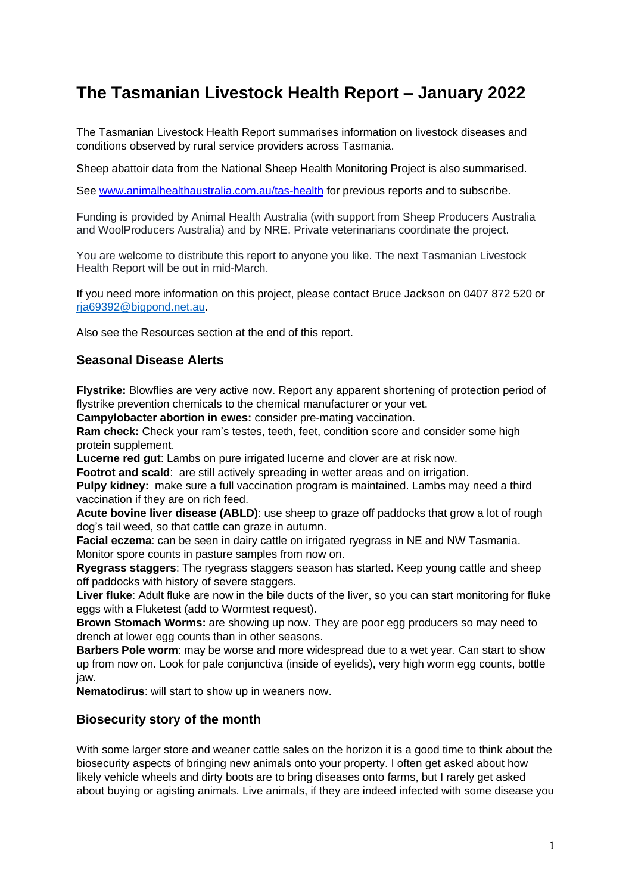# **The Tasmanian Livestock Health Report – January 2022**

The Tasmanian Livestock Health Report summarises information on livestock diseases and conditions observed by rural service providers across Tasmania.

Sheep abattoir data from the National Sheep Health Monitoring Project is also summarised.

See [www.animalhealthaustralia.com.au/tas-health](http://www.animalhealthaustralia.com.au/tas-health) for previous reports and to subscribe.

Funding is provided by Animal Health Australia (with support from Sheep Producers Australia and WoolProducers Australia) and by NRE. Private veterinarians coordinate the project.

You are welcome to distribute this report to anyone you like. The next Tasmanian Livestock Health Report will be out in mid-March.

If you need more information on this project, please contact Bruce Jackson on 0407 872 520 or [rja69392@bigpond.net.au.](mailto:rja69392@bigpond.net.au)

Also see the Resources section at the end of this report.

# **Seasonal Disease Alerts**

**Flystrike:** Blowflies are very active now. Report any apparent shortening of protection period of flystrike prevention chemicals to the chemical manufacturer or your vet.

**Campylobacter abortion in ewes:** consider pre-mating vaccination.

**Ram check:** Check your ram's testes, teeth, feet, condition score and consider some high protein supplement.

**Lucerne red gut**: Lambs on pure irrigated lucerne and clover are at risk now.

**Footrot and scald:** are still actively spreading in wetter areas and on irrigation.

**Pulpy kidney:** make sure a full vaccination program is maintained. Lambs may need a third vaccination if they are on rich feed.

**Acute bovine liver disease (ABLD)**: use sheep to graze off paddocks that grow a lot of rough dog's tail weed, so that cattle can graze in autumn.

**Facial eczema**: can be seen in dairy cattle on irrigated ryegrass in NE and NW Tasmania. Monitor spore counts in pasture samples from now on.

**Ryegrass staggers**: The ryegrass staggers season has started. Keep young cattle and sheep off paddocks with history of severe staggers.

**Liver fluke**: Adult fluke are now in the bile ducts of the liver, so you can start monitoring for fluke eggs with a Fluketest (add to Wormtest request).

**Brown Stomach Worms:** are showing up now. They are poor egg producers so may need to drench at lower egg counts than in other seasons.

**Barbers Pole worm**: may be worse and more widespread due to a wet year. Can start to show up from now on. Look for pale conjunctiva (inside of eyelids), very high worm egg counts, bottle jaw.

**Nematodirus**: will start to show up in weaners now.

# **Biosecurity story of the month**

With some larger store and weaner cattle sales on the horizon it is a good time to think about the biosecurity aspects of bringing new animals onto your property. I often get asked about how likely vehicle wheels and dirty boots are to bring diseases onto farms, but I rarely get asked about buying or agisting animals. Live animals, if they are indeed infected with some disease you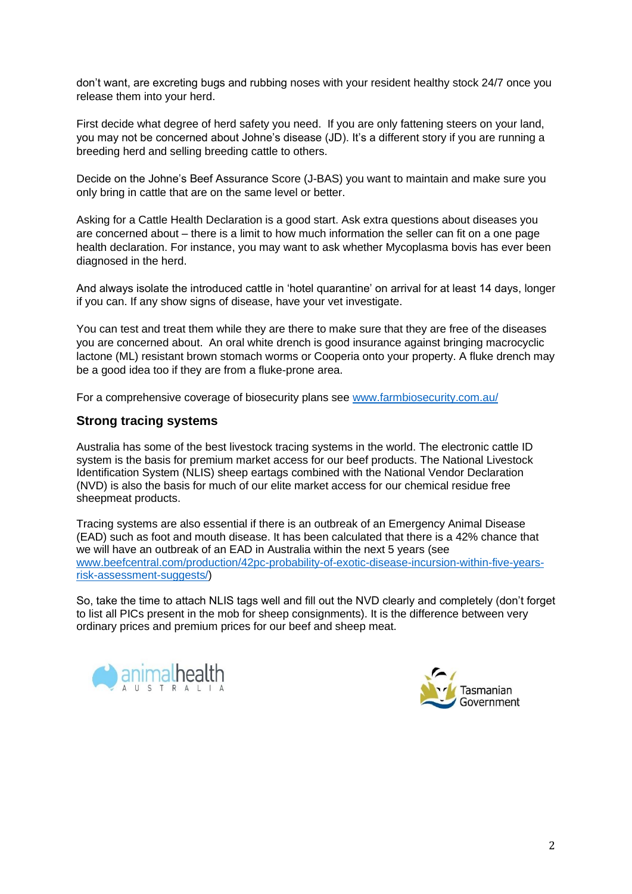don't want, are excreting bugs and rubbing noses with your resident healthy stock 24/7 once you release them into your herd.

First decide what degree of herd safety you need. If you are only fattening steers on your land, you may not be concerned about Johne's disease (JD). It's a different story if you are running a breeding herd and selling breeding cattle to others.

Decide on the Johne's Beef Assurance Score (J-BAS) you want to maintain and make sure you only bring in cattle that are on the same level or better.

Asking for a Cattle Health Declaration is a good start. Ask extra questions about diseases you are concerned about – there is a limit to how much information the seller can fit on a one page health declaration. For instance, you may want to ask whether Mycoplasma bovis has ever been diagnosed in the herd.

And always isolate the introduced cattle in 'hotel quarantine' on arrival for at least 14 days, longer if you can. If any show signs of disease, have your vet investigate.

You can test and treat them while they are there to make sure that they are free of the diseases you are concerned about. An oral white drench is good insurance against bringing macrocyclic lactone (ML) resistant brown stomach worms or Cooperia onto your property. A fluke drench may be a good idea too if they are from a fluke-prone area.

For a comprehensive coverage of biosecurity plans see [www.farmbiosecurity.com.au/](http://www.farmbiosecurity.com.au/)

## **Strong tracing systems**

Australia has some of the best livestock tracing systems in the world. The electronic cattle ID system is the basis for premium market access for our beef products. The National Livestock Identification System (NLIS) sheep eartags combined with the National Vendor Declaration (NVD) is also the basis for much of our elite market access for our chemical residue free sheepmeat products.

Tracing systems are also essential if there is an outbreak of an Emergency Animal Disease (EAD) such as foot and mouth disease. It has been calculated that there is a 42% chance that we will have an outbreak of an EAD in Australia within the next 5 years (see [www.beefcentral.com/production/42pc-probability-of-exotic-disease-incursion-within-five-years](http://www.beefcentral.com/production/42pc-probability-of-exotic-disease-incursion-within-five-years-risk-assessment-suggests/)[risk-assessment-suggests/\)](http://www.beefcentral.com/production/42pc-probability-of-exotic-disease-incursion-within-five-years-risk-assessment-suggests/)

So, take the time to attach NLIS tags well and fill out the NVD clearly and completely (don't forget to list all PICs present in the mob for sheep consignments). It is the difference between very ordinary prices and premium prices for our beef and sheep meat.



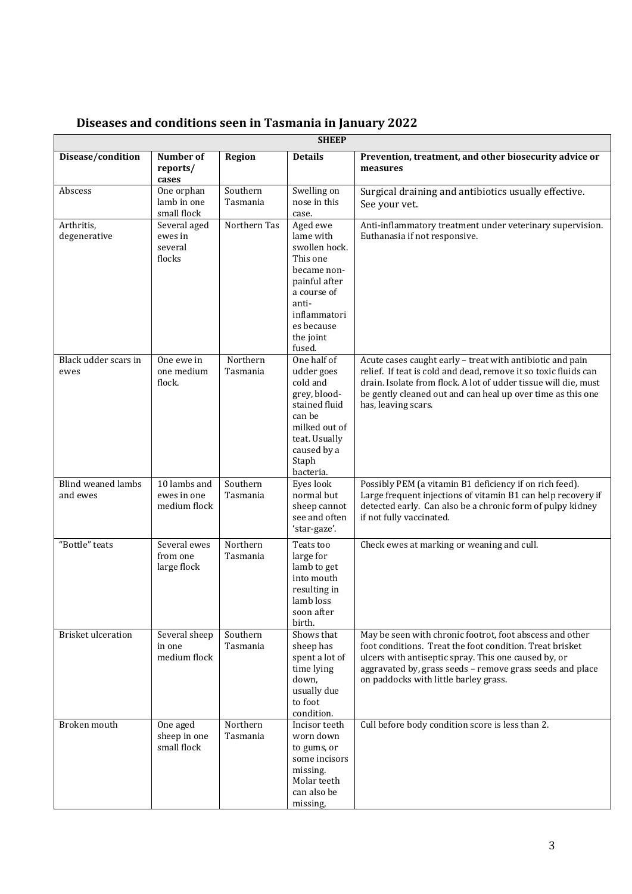|                                       | <b>SHEEP</b>                                 |                      |                                                                                                                                                                 |                                                                                                                                                                                                                                                                                       |  |  |
|---------------------------------------|----------------------------------------------|----------------------|-----------------------------------------------------------------------------------------------------------------------------------------------------------------|---------------------------------------------------------------------------------------------------------------------------------------------------------------------------------------------------------------------------------------------------------------------------------------|--|--|
| Disease/condition                     | Number of<br>reports/<br>cases               | Region               | <b>Details</b>                                                                                                                                                  | Prevention, treatment, and other biosecurity advice or<br>measures                                                                                                                                                                                                                    |  |  |
| Abscess                               | One orphan<br>lamb in one<br>small flock     | Southern<br>Tasmania | Swelling on<br>nose in this<br>case.                                                                                                                            | Surgical draining and antibiotics usually effective.<br>See your vet.                                                                                                                                                                                                                 |  |  |
| Arthritis,<br>degenerative            | Several aged<br>ewes in<br>several<br>flocks | Northern Tas         | Aged ewe<br>lame with<br>swollen hock.<br>This one<br>became non-<br>painful after<br>a course of<br>anti-<br>inflammatori<br>es because<br>the joint<br>fused. | Anti-inflammatory treatment under veterinary supervision.<br>Euthanasia if not responsive.                                                                                                                                                                                            |  |  |
| Black udder scars in<br>ewes          | One ewe in<br>one medium<br>flock.           | Northern<br>Tasmania | One half of<br>udder goes<br>cold and<br>grey, blood-<br>stained fluid<br>can be<br>milked out of<br>teat. Usually<br>caused by a<br>Staph<br>bacteria.         | Acute cases caught early - treat with antibiotic and pain<br>relief. If teat is cold and dead, remove it so toxic fluids can<br>drain. Isolate from flock. A lot of udder tissue will die, must<br>be gently cleaned out and can heal up over time as this one<br>has, leaving scars. |  |  |
| <b>Blind weaned lambs</b><br>and ewes | 10 lambs and<br>ewes in one<br>medium flock  | Southern<br>Tasmania | Eyes look<br>normal but<br>sheep cannot<br>see and often<br>'star-gaze'.                                                                                        | Possibly PEM (a vitamin B1 deficiency if on rich feed).<br>Large frequent injections of vitamin B1 can help recovery if<br>detected early. Can also be a chronic form of pulpy kidney<br>if not fully vaccinated.                                                                     |  |  |
| "Bottle" teats                        | Several ewes<br>from one<br>large flock      | Northern<br>Tasmania | Teats too<br>large for<br>lamb to get<br>into mouth<br>resulting in<br>lamb loss<br>soon after<br>birth.                                                        | Check ewes at marking or weaning and cull.                                                                                                                                                                                                                                            |  |  |
| Brisket ulceration                    | Several sheep<br>in one<br>medium flock      | Southern<br>Tasmania | Shows that<br>sheep has<br>spent a lot of<br>time lying<br>down,<br>usually due<br>to foot<br>condition.                                                        | May be seen with chronic footrot, foot abscess and other<br>foot conditions. Treat the foot condition. Treat brisket<br>ulcers with antiseptic spray. This one caused by, or<br>aggravated by, grass seeds - remove grass seeds and place<br>on paddocks with little barley grass.    |  |  |
| Broken mouth                          | One aged<br>sheep in one<br>small flock      | Northern<br>Tasmania | Incisor teeth<br>worn down<br>to gums, or<br>some incisors<br>missing.<br>Molar teeth<br>can also be<br>missing,                                                | Cull before body condition score is less than 2.                                                                                                                                                                                                                                      |  |  |

# **Diseases and conditions seen in Tasmania in January 2022**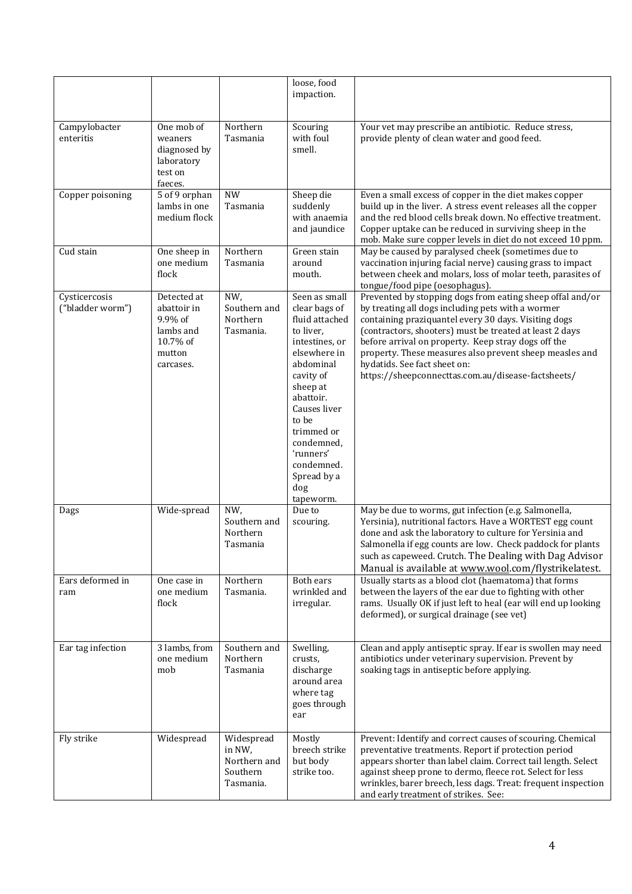|                                   |                                                                                       |                                                               | loose, food<br>impaction.                                                                                                                                                                                                                                             |                                                                                                                                                                                                                                                                                                                                                                                                                                           |
|-----------------------------------|---------------------------------------------------------------------------------------|---------------------------------------------------------------|-----------------------------------------------------------------------------------------------------------------------------------------------------------------------------------------------------------------------------------------------------------------------|-------------------------------------------------------------------------------------------------------------------------------------------------------------------------------------------------------------------------------------------------------------------------------------------------------------------------------------------------------------------------------------------------------------------------------------------|
| Campylobacter<br>enteritis        | One mob of<br>weaners<br>diagnosed by<br>laboratory<br>test on<br>faeces.             | Northern<br>Tasmania                                          | Scouring<br>with foul<br>smell.                                                                                                                                                                                                                                       | Your vet may prescribe an antibiotic. Reduce stress,<br>provide plenty of clean water and good feed.                                                                                                                                                                                                                                                                                                                                      |
| Copper poisoning                  | 5 of 9 orphan<br>lambs in one<br>medium flock                                         | <b>NW</b><br>Tasmania                                         | Sheep die<br>suddenly<br>with anaemia<br>and jaundice                                                                                                                                                                                                                 | Even a small excess of copper in the diet makes copper<br>build up in the liver. A stress event releases all the copper<br>and the red blood cells break down. No effective treatment.<br>Copper uptake can be reduced in surviving sheep in the<br>mob. Make sure copper levels in diet do not exceed 10 ppm.                                                                                                                            |
| Cud stain                         | One sheep in<br>one medium<br>flock                                                   | Northern<br>Tasmania                                          | Green stain<br>around<br>mouth.                                                                                                                                                                                                                                       | May be caused by paralysed cheek (sometimes due to<br>vaccination injuring facial nerve) causing grass to impact<br>between cheek and molars, loss of molar teeth, parasites of<br>tongue/food pipe (oesophagus).                                                                                                                                                                                                                         |
| Cysticercosis<br>("bladder worm") | Detected at<br>abattoir in<br>9.9% of<br>lambs and<br>10.7% of<br>mutton<br>carcases. | NW,<br>Southern and<br>Northern<br>Tasmania.                  | Seen as small<br>clear bags of<br>fluid attached<br>to liver,<br>intestines, or<br>elsewhere in<br>abdominal<br>cavity of<br>sheep at<br>abattoir.<br>Causes liver<br>to be<br>trimmed or<br>condemned,<br>'runners'<br>condemned.<br>Spread by a<br>dog<br>tapeworm. | Prevented by stopping dogs from eating sheep offal and/or<br>by treating all dogs including pets with a wormer<br>containing praziquantel every 30 days. Visiting dogs<br>(contractors, shooters) must be treated at least 2 days<br>before arrival on property. Keep stray dogs off the<br>property. These measures also prevent sheep measles and<br>hydatids. See fact sheet on:<br>https://sheepconnecttas.com.au/disease-factsheets/ |
| Dags                              | Wide-spread                                                                           | NW,<br>Southern and<br>Northern<br>Tasmania                   | Due to<br>scouring.                                                                                                                                                                                                                                                   | May be due to worms, gut infection (e.g. Salmonella,<br>Yersinia), nutritional factors. Have a WORTEST egg count<br>done and ask the laboratory to culture for Yersinia and<br>Salmonella if egg counts are low. Check paddock for plants<br>such as capeweed. Crutch. The Dealing with Dag Advisor<br>Manual is available at www.wool.com/flystrikelatest.                                                                               |
| Ears deformed in<br>ram           | One case in<br>one medium<br>flock                                                    | Northern<br>Tasmania.                                         | Both ears<br>wrinkled and<br>irregular.                                                                                                                                                                                                                               | Usually starts as a blood clot (haematoma) that forms<br>between the layers of the ear due to fighting with other<br>rams. Usually OK if just left to heal (ear will end up looking<br>deformed), or surgical drainage (see vet)                                                                                                                                                                                                          |
| Ear tag infection                 | 3 lambs, from<br>one medium<br>mob                                                    | Southern and<br>Northern<br>Tasmania                          | Swelling,<br>crusts,<br>discharge<br>around area<br>where tag<br>goes through<br>ear                                                                                                                                                                                  | Clean and apply antiseptic spray. If ear is swollen may need<br>antibiotics under veterinary supervision. Prevent by<br>soaking tags in antiseptic before applying.                                                                                                                                                                                                                                                                       |
| Fly strike                        | Widespread                                                                            | Widespread<br>in NW,<br>Northern and<br>Southern<br>Tasmania. | Mostly<br>breech strike<br>but body<br>strike too.                                                                                                                                                                                                                    | Prevent: Identify and correct causes of scouring. Chemical<br>preventative treatments. Report if protection period<br>appears shorter than label claim. Correct tail length. Select<br>against sheep prone to dermo, fleece rot. Select for less<br>wrinkles, barer breech, less dags. Treat: frequent inspection<br>and early treatment of strikes. See:                                                                                 |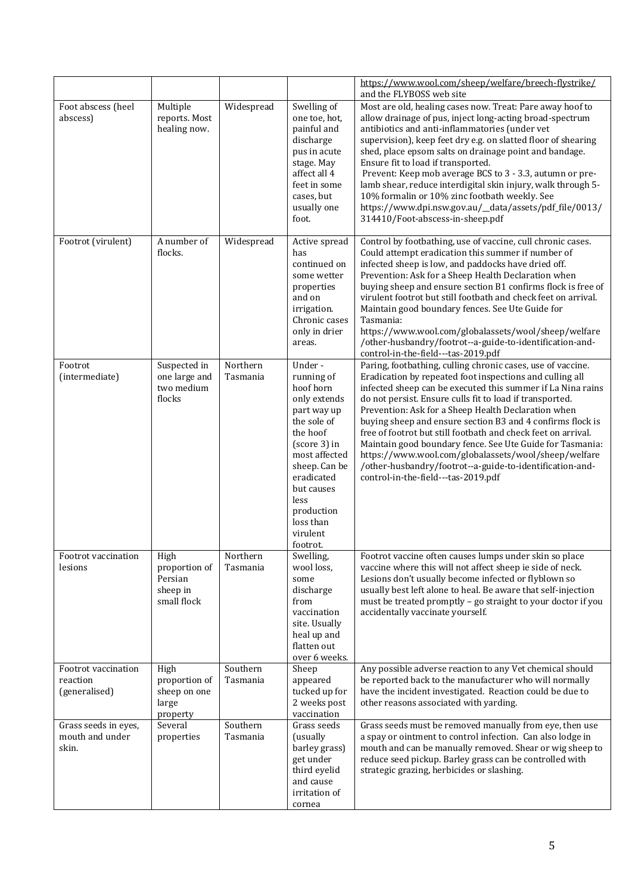|                                                  |                                                             |                      |                                                                                                                                                                                                                                      | https://www.wool.com/sheep/welfare/breech-flystrike/<br>and the FLYBOSS web site                                                                                                                                                                                                                                                                                                                                                                                                                                                                                                                                                                                 |
|--------------------------------------------------|-------------------------------------------------------------|----------------------|--------------------------------------------------------------------------------------------------------------------------------------------------------------------------------------------------------------------------------------|------------------------------------------------------------------------------------------------------------------------------------------------------------------------------------------------------------------------------------------------------------------------------------------------------------------------------------------------------------------------------------------------------------------------------------------------------------------------------------------------------------------------------------------------------------------------------------------------------------------------------------------------------------------|
| Foot abscess (heel<br>abscess)                   | Multiple<br>reports. Most<br>healing now.                   | Widespread           | Swelling of<br>one toe, hot,<br>painful and<br>discharge<br>pus in acute<br>stage. May<br>affect all 4<br>feet in some<br>cases, but<br>usually one<br>foot.                                                                         | Most are old, healing cases now. Treat: Pare away hoof to<br>allow drainage of pus, inject long-acting broad-spectrum<br>antibiotics and anti-inflammatories (under vet<br>supervision), keep feet dry e.g. on slatted floor of shearing<br>shed, place epsom salts on drainage point and bandage.<br>Ensure fit to load if transported.<br>Prevent: Keep mob average BCS to 3 - 3.3, autumn or pre-<br>lamb shear, reduce interdigital skin injury, walk through 5-<br>10% formalin or 10% zinc footbath weekly. See<br>https://www.dpi.nsw.gov.au/_data/assets/pdf_file/0013/<br>314410/Foot-abscess-in-sheep.pdf                                              |
| Footrot (virulent)                               | A number of<br>flocks.                                      | Widespread           | Active spread<br>has<br>continued on<br>some wetter<br>properties<br>and on<br>irrigation.<br>Chronic cases<br>only in drier<br>areas.                                                                                               | Control by footbathing, use of vaccine, cull chronic cases.<br>Could attempt eradication this summer if number of<br>infected sheep is low, and paddocks have dried off.<br>Prevention: Ask for a Sheep Health Declaration when<br>buying sheep and ensure section B1 confirms flock is free of<br>virulent footrot but still footbath and check feet on arrival.<br>Maintain good boundary fences. See Ute Guide for<br>Tasmania:<br>https://www.wool.com/globalassets/wool/sheep/welfare<br>/other-husbandry/footrot--a-guide-to-identification-and-<br>control-in-the-field---tas-2019.pdf                                                                    |
| Footrot<br>(intermediate)                        | Suspected in<br>one large and<br>two medium<br>flocks       | Northern<br>Tasmania | Under-<br>running of<br>hoof horn<br>only extends<br>part way up<br>the sole of<br>the hoof<br>(score 3) in<br>most affected<br>sheep. Can be<br>eradicated<br>but causes<br>less<br>production<br>loss than<br>virulent<br>footrot. | Paring, footbathing, culling chronic cases, use of vaccine.<br>Eradication by repeated foot inspections and culling all<br>infected sheep can be executed this summer if La Nina rains<br>do not persist. Ensure culls fit to load if transported.<br>Prevention: Ask for a Sheep Health Declaration when<br>buying sheep and ensure section B3 and 4 confirms flock is<br>free of footrot but still footbath and check feet on arrival.<br>Maintain good boundary fence. See Ute Guide for Tasmania:<br>https://www.wool.com/globalassets/wool/sheep/welfare<br>/other-husbandry/footrot--a-guide-to-identification-and-<br>control-in-the-field---tas-2019.pdf |
| Footrot vaccination<br>lesions                   | High<br>proportion of<br>Persian<br>sheep in<br>small flock | Northern<br>Tasmania | Swelling,<br>wool loss,<br>some<br>discharge<br>from<br>vaccination<br>site. Usually<br>heal up and<br>flatten out<br>over 6 weeks.                                                                                                  | Footrot vaccine often causes lumps under skin so place<br>vaccine where this will not affect sheep ie side of neck.<br>Lesions don't usually become infected or flyblown so<br>usually best left alone to heal. Be aware that self-injection<br>must be treated promptly - go straight to your doctor if you<br>accidentally vaccinate yourself.                                                                                                                                                                                                                                                                                                                 |
| Footrot vaccination<br>reaction<br>(generalised) | High<br>proportion of<br>sheep on one<br>large<br>property  | Southern<br>Tasmania | Sheep<br>appeared<br>tucked up for<br>2 weeks post<br>vaccination                                                                                                                                                                    | Any possible adverse reaction to any Vet chemical should<br>be reported back to the manufacturer who will normally<br>have the incident investigated. Reaction could be due to<br>other reasons associated with yarding.                                                                                                                                                                                                                                                                                                                                                                                                                                         |
| Grass seeds in eyes,<br>mouth and under<br>skin. | Several<br>properties                                       | Southern<br>Tasmania | Grass seeds<br>(usually<br>barley grass)<br>get under<br>third eyelid<br>and cause<br>irritation of<br>cornea                                                                                                                        | Grass seeds must be removed manually from eye, then use<br>a spay or ointment to control infection. Can also lodge in<br>mouth and can be manually removed. Shear or wig sheep to<br>reduce seed pickup. Barley grass can be controlled with<br>strategic grazing, herbicides or slashing.                                                                                                                                                                                                                                                                                                                                                                       |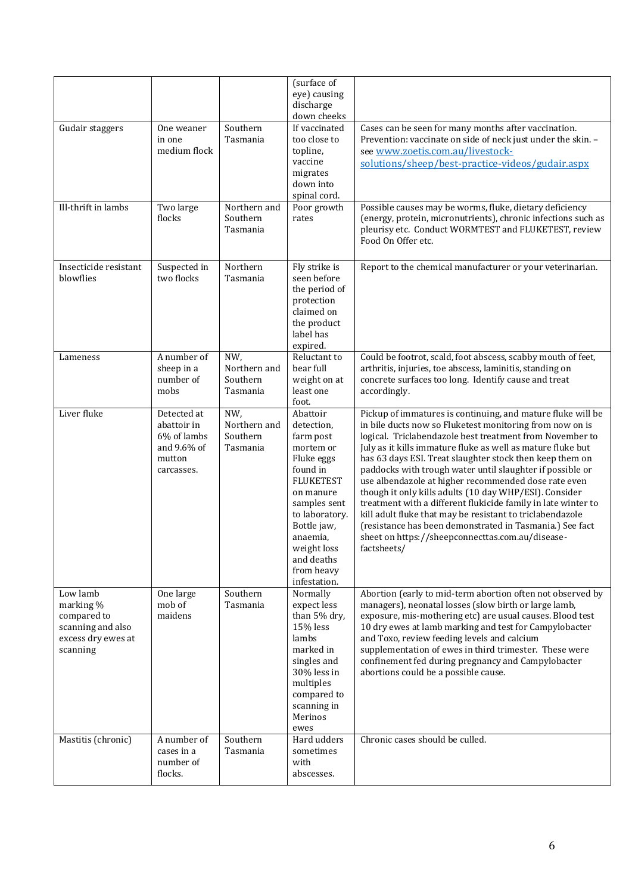|                                                                                             |                                                                                  |                                             | (surface of<br>eye) causing<br>discharge<br>down cheeks                                                                                                                                                                             |                                                                                                                                                                                                                                                                                                                                                                                                                                                                                                                                                                                                                                                                                                                                                            |
|---------------------------------------------------------------------------------------------|----------------------------------------------------------------------------------|---------------------------------------------|-------------------------------------------------------------------------------------------------------------------------------------------------------------------------------------------------------------------------------------|------------------------------------------------------------------------------------------------------------------------------------------------------------------------------------------------------------------------------------------------------------------------------------------------------------------------------------------------------------------------------------------------------------------------------------------------------------------------------------------------------------------------------------------------------------------------------------------------------------------------------------------------------------------------------------------------------------------------------------------------------------|
| Gudair staggers                                                                             | One weaner<br>in one<br>medium flock                                             | Southern<br>Tasmania                        | If vaccinated<br>too close to<br>topline,<br>vaccine<br>migrates<br>down into<br>spinal cord.                                                                                                                                       | Cases can be seen for many months after vaccination.<br>Prevention: vaccinate on side of neck just under the skin. -<br>see www.zoetis.com.au/livestock-<br>solutions/sheep/best-practice-videos/gudair.aspx                                                                                                                                                                                                                                                                                                                                                                                                                                                                                                                                               |
| Ill-thrift in lambs                                                                         | Two large<br>flocks                                                              | Northern and<br>Southern<br>Tasmania        | Poor growth<br>rates                                                                                                                                                                                                                | Possible causes may be worms, fluke, dietary deficiency<br>(energy, protein, micronutrients), chronic infections such as<br>pleurisy etc. Conduct WORMTEST and FLUKETEST, review<br>Food On Offer etc.                                                                                                                                                                                                                                                                                                                                                                                                                                                                                                                                                     |
| Insecticide resistant<br>blowflies                                                          | Suspected in<br>two flocks                                                       | Northern<br>Tasmania                        | Fly strike is<br>seen before<br>the period of<br>protection<br>claimed on<br>the product<br>label has<br>expired.                                                                                                                   | Report to the chemical manufacturer or your veterinarian.                                                                                                                                                                                                                                                                                                                                                                                                                                                                                                                                                                                                                                                                                                  |
| Lameness                                                                                    | A number of<br>sheep in a<br>number of<br>mobs                                   | NW,<br>Northern and<br>Southern<br>Tasmania | Reluctant to<br>bear full<br>weight on at<br>least one<br>foot.                                                                                                                                                                     | Could be footrot, scald, foot abscess, scabby mouth of feet,<br>arthritis, injuries, toe abscess, laminitis, standing on<br>concrete surfaces too long. Identify cause and treat<br>accordingly.                                                                                                                                                                                                                                                                                                                                                                                                                                                                                                                                                           |
| Liver fluke                                                                                 | Detected at<br>abattoir in<br>6% of lambs<br>and 9.6% of<br>mutton<br>carcasses. | NW,<br>Northern and<br>Southern<br>Tasmania | Abattoir<br>detection,<br>farm post<br>mortem or<br>Fluke eggs<br>found in<br><b>FLUKETEST</b><br>on manure<br>samples sent<br>to laboratory.<br>Bottle jaw,<br>anaemia,<br>weight loss<br>and deaths<br>from heavy<br>infestation. | Pickup of immatures is continuing, and mature fluke will be<br>in bile ducts now so Fluketest monitoring from now on is<br>logical. Triclabendazole best treatment from November to<br>July as it kills immature fluke as well as mature fluke but<br>has 63 days ESI. Treat slaughter stock then keep them on<br>paddocks with trough water until slaughter if possible or<br>use albendazole at higher recommended dose rate even<br>though it only kills adults (10 day WHP/ESI). Consider<br>treatment with a different flukicide family in late winter to<br>kill adult fluke that may be resistant to triclabendazole<br>(resistance has been demonstrated in Tasmania.) See fact<br>sheet on https://sheepconnecttas.com.au/disease-<br>factsheets/ |
| Low lamb<br>marking %<br>compared to<br>scanning and also<br>excess dry ewes at<br>scanning | One large<br>mob of<br>maidens                                                   | Southern<br>Tasmania                        | Normally<br>expect less<br>than 5% dry,<br>15% less<br>lambs<br>marked in<br>singles and<br>30% less in<br>multiples<br>compared to<br>scanning in<br>Merinos<br>ewes                                                               | Abortion (early to mid-term abortion often not observed by<br>managers), neonatal losses (slow birth or large lamb,<br>exposure, mis-mothering etc) are usual causes. Blood test<br>10 dry ewes at lamb marking and test for Campylobacter<br>and Toxo, review feeding levels and calcium<br>supplementation of ewes in third trimester. These were<br>confinement fed during pregnancy and Campylobacter<br>abortions could be a possible cause.                                                                                                                                                                                                                                                                                                          |
| Mastitis (chronic)                                                                          | A number of<br>cases in a<br>number of<br>flocks.                                | Southern<br>Tasmania                        | Hard udders<br>sometimes<br>with<br>abscesses.                                                                                                                                                                                      | Chronic cases should be culled.                                                                                                                                                                                                                                                                                                                                                                                                                                                                                                                                                                                                                                                                                                                            |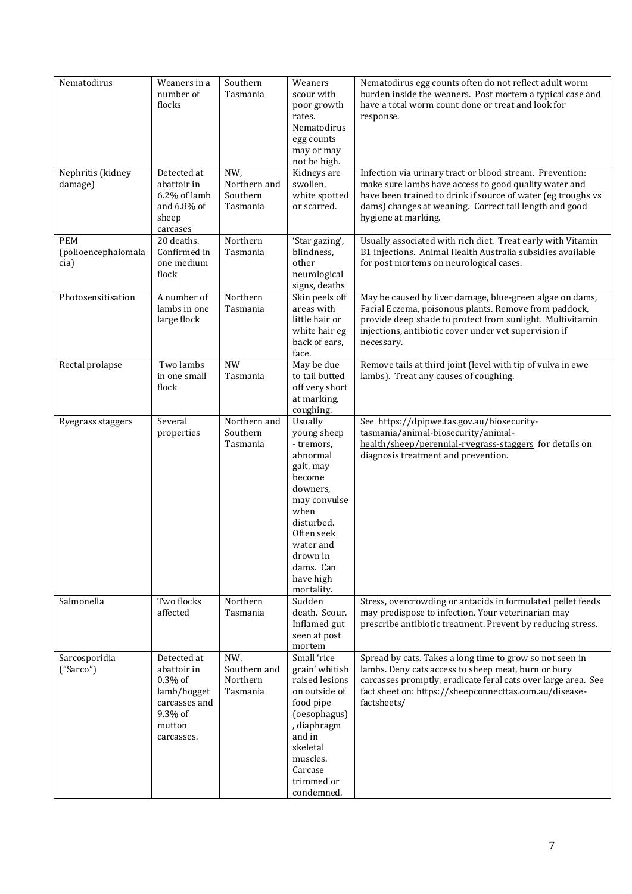| Nematodirus                        | Weaners in a<br>number of<br>flocks                                                                         | Southern<br>Tasmania                        | Weaners<br>scour with<br>poor growth<br>rates.<br>Nematodirus<br>egg counts<br>may or may<br>not be high.                                                                                                | Nematodirus egg counts often do not reflect adult worm<br>burden inside the weaners. Post mortem a typical case and<br>have a total worm count done or treat and look for<br>response.                                                                             |
|------------------------------------|-------------------------------------------------------------------------------------------------------------|---------------------------------------------|----------------------------------------------------------------------------------------------------------------------------------------------------------------------------------------------------------|--------------------------------------------------------------------------------------------------------------------------------------------------------------------------------------------------------------------------------------------------------------------|
| Nephritis (kidney<br>damage)       | Detected at<br>abattoir in<br>6.2% of lamb<br>and 6.8% of<br>sheep<br>carcases                              | NW,<br>Northern and<br>Southern<br>Tasmania | Kidneys are<br>swollen,<br>white spotted<br>or scarred.                                                                                                                                                  | Infection via urinary tract or blood stream. Prevention:<br>make sure lambs have access to good quality water and<br>have been trained to drink if source of water (eg troughs vs<br>dams) changes at weaning. Correct tail length and good<br>hygiene at marking. |
| PEM<br>(polioencephalomala<br>cia) | 20 deaths.<br>Confirmed in<br>one medium<br>flock                                                           | Northern<br>Tasmania                        | 'Star gazing',<br>blindness,<br>other<br>neurological<br>signs, deaths                                                                                                                                   | Usually associated with rich diet. Treat early with Vitamin<br>B1 injections. Animal Health Australia subsidies available<br>for post mortems on neurological cases.                                                                                               |
| Photosensitisation                 | A number of<br>lambs in one<br>large flock                                                                  | Northern<br>Tasmania                        | Skin peels off<br>areas with<br>little hair or<br>white hair eg<br>back of ears,<br>face.                                                                                                                | May be caused by liver damage, blue-green algae on dams,<br>Facial Eczema, poisonous plants. Remove from paddock,<br>provide deep shade to protect from sunlight. Multivitamin<br>injections, antibiotic cover under vet supervision if<br>necessary.              |
| Rectal prolapse                    | Two lambs<br>in one small<br>flock                                                                          | <b>NW</b><br>Tasmania                       | May be due<br>to tail butted<br>off very short<br>at marking,<br>coughing.                                                                                                                               | Remove tails at third joint (level with tip of vulva in ewe<br>lambs). Treat any causes of coughing.                                                                                                                                                               |
| Ryegrass staggers                  | Several<br>properties                                                                                       | Northern and<br>Southern<br>Tasmania        | Usually<br>young sheep<br>- tremors,<br>abnormal<br>gait, may<br>become<br>downers,<br>may convulse<br>when<br>disturbed.<br>Often seek<br>water and<br>drown in<br>dams. Can<br>have high<br>mortality. | See https://dpipwe.tas.gov.au/biosecurity-<br>tasmania/animal-biosecurity/animal-<br>health/sheep/perennial-ryegrass-staggers for details on<br>diagnosis treatment and prevention.                                                                                |
| Salmonella                         | Two flocks<br>affected                                                                                      | Northern<br>Tasmania                        | Sudden<br>death. Scour.<br>Inflamed gut<br>seen at post<br>mortem                                                                                                                                        | Stress, overcrowding or antacids in formulated pellet feeds<br>may predispose to infection. Your veterinarian may<br>prescribe antibiotic treatment. Prevent by reducing stress.                                                                                   |
| Sarcosporidia<br>("Sarco")         | Detected at<br>abattoir in<br>$0.3\%$ of<br>lamb/hogget<br>carcasses and<br>9.3% of<br>mutton<br>carcasses. | NW,<br>Southern and<br>Northern<br>Tasmania | Small 'rice<br>grain' whitish<br>raised lesions<br>on outside of<br>food pipe<br>(oesophagus)<br>, diaphragm<br>and in<br>skeletal<br>muscles.<br>Carcase<br>trimmed or<br>condemned.                    | Spread by cats. Takes a long time to grow so not seen in<br>lambs. Deny cats access to sheep meat, burn or bury<br>carcasses promptly, eradicate feral cats over large area. See<br>fact sheet on: https://sheepconnecttas.com.au/disease-<br>factsheets/          |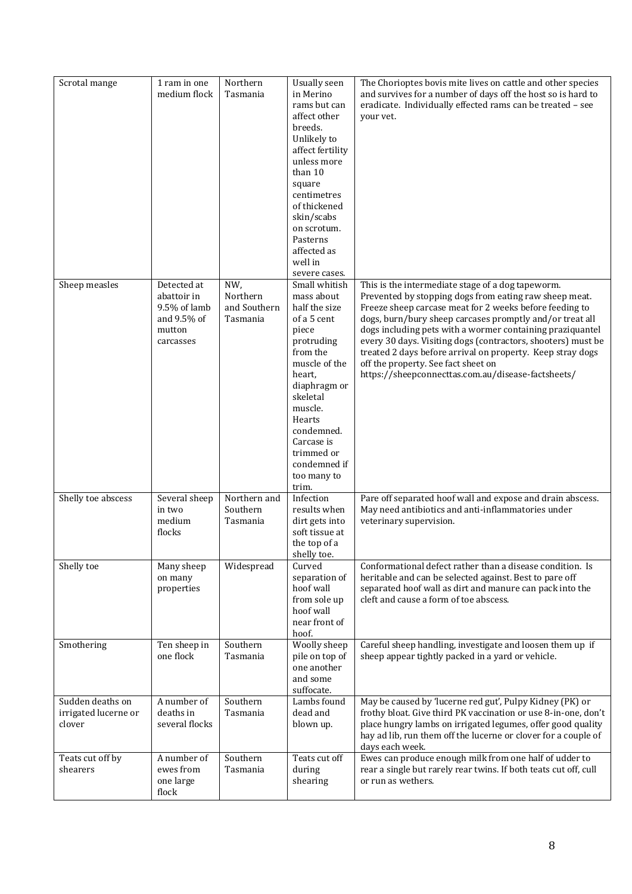| Scrotal mange                                      | 1 ram in one<br>medium flock                                                     | Northern<br>Tasmania                        | <b>Usually</b> seen<br>in Merino<br>rams but can<br>affect other<br>breeds.<br>Unlikely to<br>affect fertility<br>unless more<br>than 10<br>square<br>centimetres<br>of thickened<br>skin/scabs<br>on scrotum.<br>Pasterns<br>affected as<br>well in<br>severe cases. | The Chorioptes bovis mite lives on cattle and other species<br>and survives for a number of days off the host so is hard to<br>eradicate. Individually effected rams can be treated - see<br>your vet.                                                                                                                                                                                                                                                                                                                     |
|----------------------------------------------------|----------------------------------------------------------------------------------|---------------------------------------------|-----------------------------------------------------------------------------------------------------------------------------------------------------------------------------------------------------------------------------------------------------------------------|----------------------------------------------------------------------------------------------------------------------------------------------------------------------------------------------------------------------------------------------------------------------------------------------------------------------------------------------------------------------------------------------------------------------------------------------------------------------------------------------------------------------------|
| Sheep measles                                      | Detected at<br>abattoir in<br>9.5% of lamb<br>and 9.5% of<br>mutton<br>carcasses | NW,<br>Northern<br>and Southern<br>Tasmania | Small whitish<br>mass about<br>half the size<br>of a 5 cent<br>piece<br>protruding<br>from the<br>muscle of the<br>heart,<br>diaphragm or<br>skeletal<br>muscle.<br>Hearts<br>condemned.<br>Carcase is<br>trimmed or<br>condemned if<br>too many to<br>trim.          | This is the intermediate stage of a dog tapeworm.<br>Prevented by stopping dogs from eating raw sheep meat.<br>Freeze sheep carcase meat for 2 weeks before feeding to<br>dogs, burn/bury sheep carcases promptly and/or treat all<br>dogs including pets with a wormer containing praziquantel<br>every 30 days. Visiting dogs (contractors, shooters) must be<br>treated 2 days before arrival on property. Keep stray dogs<br>off the property. See fact sheet on<br>https://sheepconnecttas.com.au/disease-factsheets/ |
| Shelly toe abscess                                 | Several sheep<br>in two<br>medium<br>flocks                                      | Northern and<br>Southern<br>Tasmania        | Infection<br>results when<br>dirt gets into<br>soft tissue at<br>the top of a<br>shelly toe.                                                                                                                                                                          | Pare off separated hoof wall and expose and drain abscess.<br>May need antibiotics and anti-inflammatories under<br>veterinary supervision.                                                                                                                                                                                                                                                                                                                                                                                |
| Shelly toe                                         | Many sheep<br>on many<br>properties                                              | Widespread                                  | Curved<br>separation of<br>hoof wall<br>from sole up<br>hoof wall<br>near front of<br>hoof.                                                                                                                                                                           | Conformational defect rather than a disease condition. Is<br>heritable and can be selected against. Best to pare off<br>separated hoof wall as dirt and manure can pack into the<br>cleft and cause a form of toe abscess.                                                                                                                                                                                                                                                                                                 |
| Smothering                                         | Ten sheep in<br>one flock                                                        | Southern<br>Tasmania                        | Woolly sheep<br>pile on top of<br>one another<br>and some<br>suffocate.                                                                                                                                                                                               | Careful sheep handling, investigate and loosen them up if<br>sheep appear tightly packed in a yard or vehicle.                                                                                                                                                                                                                                                                                                                                                                                                             |
| Sudden deaths on<br>irrigated lucerne or<br>clover | A number of<br>deaths in<br>several flocks                                       | Southern<br>Tasmania                        | Lambs found<br>dead and<br>blown up.                                                                                                                                                                                                                                  | May be caused by 'lucerne red gut', Pulpy Kidney (PK) or<br>frothy bloat. Give third PK vaccination or use 8-in-one, don't<br>place hungry lambs on irrigated legumes, offer good quality<br>hay ad lib, run them off the lucerne or clover for a couple of<br>days each week.                                                                                                                                                                                                                                             |
| Teats cut off by<br>shearers                       | A number of<br>ewes from<br>one large<br>flock                                   | Southern<br>Tasmania                        | Teats cut off<br>during<br>shearing                                                                                                                                                                                                                                   | Ewes can produce enough milk from one half of udder to<br>rear a single but rarely rear twins. If both teats cut off, cull<br>or run as wethers.                                                                                                                                                                                                                                                                                                                                                                           |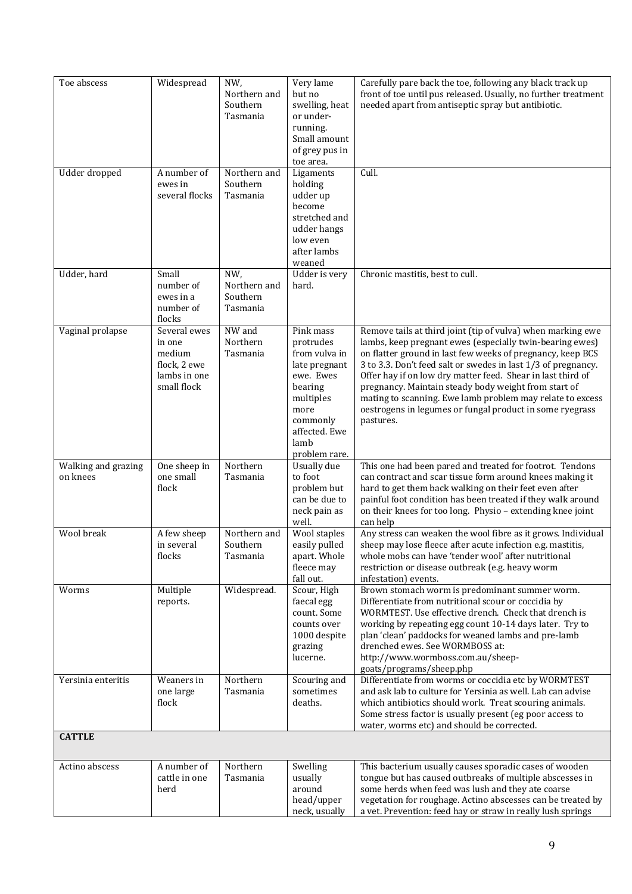| Toe abscess                     | Widespread                                                                      | NW,<br>Northern and<br>Southern<br>Tasmania | Very lame<br>but no<br>swelling, heat<br>or under-<br>running.<br>Small amount<br>of grey pus in<br>toe area.                                               | Carefully pare back the toe, following any black track up<br>front of toe until pus released. Usually, no further treatment<br>needed apart from antiseptic spray but antibiotic.                                                                                                                                                                                                                                                                                                                                   |
|---------------------------------|---------------------------------------------------------------------------------|---------------------------------------------|-------------------------------------------------------------------------------------------------------------------------------------------------------------|---------------------------------------------------------------------------------------------------------------------------------------------------------------------------------------------------------------------------------------------------------------------------------------------------------------------------------------------------------------------------------------------------------------------------------------------------------------------------------------------------------------------|
| Udder dropped                   | A number of<br>ewes in<br>several flocks                                        | Northern and<br>Southern<br>Tasmania        | Ligaments<br>holding<br>udder up<br>become<br>stretched and<br>udder hangs<br>low even<br>after lambs<br>weaned                                             | Cull.                                                                                                                                                                                                                                                                                                                                                                                                                                                                                                               |
| Udder, hard                     | Small<br>number of<br>ewes in a<br>number of<br>flocks                          | NW,<br>Northern and<br>Southern<br>Tasmania | Udder is very<br>hard.                                                                                                                                      | Chronic mastitis, best to cull.                                                                                                                                                                                                                                                                                                                                                                                                                                                                                     |
| Vaginal prolapse                | Several ewes<br>in one<br>medium<br>flock, 2 ewe<br>lambs in one<br>small flock | NW and<br>Northern<br>Tasmania              | Pink mass<br>protrudes<br>from vulva in<br>late pregnant<br>ewe. Ewes<br>bearing<br>multiples<br>more<br>commonly<br>affected. Ewe<br>lamb<br>problem rare. | Remove tails at third joint (tip of vulva) when marking ewe<br>lambs, keep pregnant ewes (especially twin-bearing ewes)<br>on flatter ground in last few weeks of pregnancy, keep BCS<br>3 to 3.3. Don't feed salt or swedes in last 1/3 of pregnancy.<br>Offer hay if on low dry matter feed. Shear in last third of<br>pregnancy. Maintain steady body weight from start of<br>mating to scanning. Ewe lamb problem may relate to excess<br>oestrogens in legumes or fungal product in some ryegrass<br>pastures. |
| Walking and grazing<br>on knees | One sheep in<br>one small<br>flock                                              | Northern<br>Tasmania                        | Usually due<br>to foot<br>problem but<br>can be due to<br>neck pain as<br>well.                                                                             | This one had been pared and treated for footrot. Tendons<br>can contract and scar tissue form around knees making it<br>hard to get them back walking on their feet even after<br>painful foot condition has been treated if they walk around<br>on their knees for too long. Physio - extending knee joint<br>can help                                                                                                                                                                                             |
| Wool break                      | A few sheep<br>in several<br>flocks                                             | Northern and<br>Southern<br>Tasmania        | Wool staples<br>easily pulled<br>apart. Whole<br>fleece may<br>fall out.                                                                                    | Any stress can weaken the wool fibre as it grows. Individual<br>sheep may lose fleece after acute infection e.g. mastitis,<br>whole mobs can have 'tender wool' after nutritional<br>restriction or disease outbreak (e.g. heavy worm<br>infestation) events.                                                                                                                                                                                                                                                       |
| Worms                           | Multiple<br>reports.                                                            | Widespread.                                 | Scour, High<br>faecal egg<br>count. Some<br>counts over<br>1000 despite<br>grazing<br>lucerne.                                                              | Brown stomach worm is predominant summer worm.<br>Differentiate from nutritional scour or coccidia by<br>WORMTEST. Use effective drench. Check that drench is<br>working by repeating egg count 10-14 days later. Try to<br>plan 'clean' paddocks for weaned lambs and pre-lamb<br>drenched ewes. See WORMBOSS at:<br>http://www.wormboss.com.au/sheep-<br>goats/programs/sheep.php                                                                                                                                 |
| Yersinia enteritis              | Weaners in<br>one large<br>flock                                                | Northern<br>Tasmania                        | Scouring and<br>sometimes<br>deaths.                                                                                                                        | Differentiate from worms or coccidia etc by WORMTEST<br>and ask lab to culture for Yersinia as well. Lab can advise<br>which antibiotics should work. Treat scouring animals.<br>Some stress factor is usually present (eg poor access to<br>water, worms etc) and should be corrected.                                                                                                                                                                                                                             |
| <b>CATTLE</b>                   |                                                                                 |                                             |                                                                                                                                                             |                                                                                                                                                                                                                                                                                                                                                                                                                                                                                                                     |
| Actino abscess                  | A number of<br>cattle in one<br>herd                                            | Northern<br>Tasmania                        | Swelling<br>usually<br>around<br>head/upper<br>neck, usually                                                                                                | This bacterium usually causes sporadic cases of wooden<br>tongue but has caused outbreaks of multiple abscesses in<br>some herds when feed was lush and they ate coarse<br>vegetation for roughage. Actino abscesses can be treated by<br>a vet. Prevention: feed hay or straw in really lush springs                                                                                                                                                                                                               |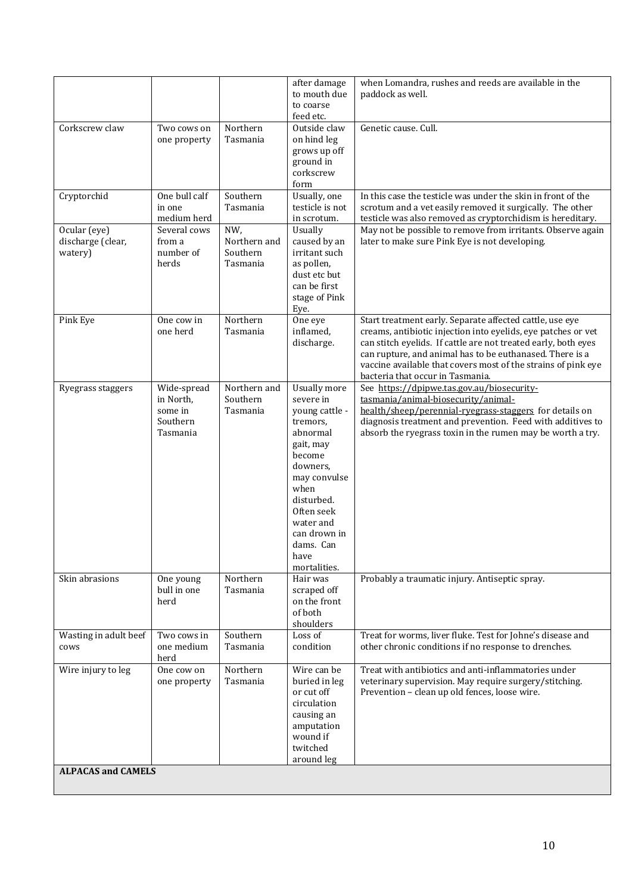|                              |                            |                          | after damage<br>to mouth due   | when Lomandra, rushes and reeds are available in the<br>paddock as well.                                                  |  |  |
|------------------------------|----------------------------|--------------------------|--------------------------------|---------------------------------------------------------------------------------------------------------------------------|--|--|
|                              |                            |                          | to coarse                      |                                                                                                                           |  |  |
| Corkscrew claw               | Two cows on                | Northern                 | feed etc.<br>Outside claw      | Genetic cause. Cull.                                                                                                      |  |  |
|                              | one property               | Tasmania                 | on hind leg<br>grows up off    |                                                                                                                           |  |  |
|                              |                            |                          | ground in                      |                                                                                                                           |  |  |
|                              |                            |                          | corkscrew<br>form              |                                                                                                                           |  |  |
| Cryptorchid                  | One bull calf              | Southern                 | Usually, one                   | In this case the testicle was under the skin in front of the                                                              |  |  |
|                              | in one<br>medium herd      | Tasmania                 | testicle is not<br>in scrotum. | scrotum and a vet easily removed it surgically. The other<br>testicle was also removed as cryptorchidism is hereditary.   |  |  |
| Ocular (eye)                 | Several cows               | NW,<br>Northern and      | Usually                        | May not be possible to remove from irritants. Observe again                                                               |  |  |
| discharge (clear,<br>watery) | from a<br>number of        | Southern                 | caused by an<br>irritant such  | later to make sure Pink Eye is not developing.                                                                            |  |  |
|                              | herds                      | Tasmania                 | as pollen,<br>dust etc but     |                                                                                                                           |  |  |
|                              |                            |                          | can be first                   |                                                                                                                           |  |  |
|                              |                            |                          | stage of Pink<br>Eye.          |                                                                                                                           |  |  |
| Pink Eye                     | One cow in<br>one herd     | Northern<br>Tasmania     | One eye<br>inflamed,           | Start treatment early. Separate affected cattle, use eye<br>creams, antibiotic injection into eyelids, eye patches or vet |  |  |
|                              |                            |                          | discharge.                     | can stitch eyelids. If cattle are not treated early, both eyes                                                            |  |  |
|                              |                            |                          |                                | can rupture, and animal has to be euthanased. There is a<br>vaccine available that covers most of the strains of pink eye |  |  |
|                              |                            |                          |                                | bacteria that occur in Tasmania.                                                                                          |  |  |
| Ryegrass staggers            | Wide-spread<br>in North,   | Northern and<br>Southern | Usually more<br>severe in      | See https://dpipwe.tas.gov.au/biosecurity-<br>tasmania/animal-biosecurity/animal-                                         |  |  |
|                              | some in<br>Southern        | Tasmania                 | young cattle -                 | health/sheep/perennial-ryegrass-staggers for details on                                                                   |  |  |
|                              | Tasmania                   |                          | tremors.<br>abnormal           | diagnosis treatment and prevention. Feed with additives to<br>absorb the ryegrass toxin in the rumen may be worth a try.  |  |  |
|                              |                            |                          | gait, may<br>become            |                                                                                                                           |  |  |
|                              |                            |                          | downers,                       |                                                                                                                           |  |  |
|                              |                            |                          | may convulse<br>when           |                                                                                                                           |  |  |
|                              |                            |                          | disturbed.                     |                                                                                                                           |  |  |
|                              |                            |                          | Often seek<br>water and        |                                                                                                                           |  |  |
|                              |                            |                          | can drown in<br>dams. Can      |                                                                                                                           |  |  |
|                              |                            |                          | have                           |                                                                                                                           |  |  |
| Skin abrasions               | One young                  | Northern                 | mortalities.<br>Hair was       | Probably a traumatic injury. Antiseptic spray.                                                                            |  |  |
|                              | bull in one                | Tasmania                 | scraped off<br>on the front    |                                                                                                                           |  |  |
|                              | herd                       |                          | of both                        |                                                                                                                           |  |  |
| Wasting in adult beef        | Two cows in                | Southern                 | shoulders<br>Loss of           | Treat for worms, liver fluke. Test for Johne's disease and                                                                |  |  |
| cows                         | one medium<br>herd         | Tasmania                 | condition                      | other chronic conditions if no response to drenches.                                                                      |  |  |
| Wire injury to leg           | One cow on<br>one property | Northern<br>Tasmania     | Wire can be<br>buried in leg   | Treat with antibiotics and anti-inflammatories under<br>veterinary supervision. May require surgery/stitching.            |  |  |
|                              |                            |                          | or cut off<br>circulation      | Prevention - clean up old fences, loose wire.                                                                             |  |  |
|                              |                            |                          | causing an                     |                                                                                                                           |  |  |
|                              |                            |                          | amputation<br>wound if         |                                                                                                                           |  |  |
|                              |                            |                          | twitched                       |                                                                                                                           |  |  |
| <b>ALPACAS and CAMELS</b>    |                            |                          | around leg                     |                                                                                                                           |  |  |
|                              |                            |                          |                                |                                                                                                                           |  |  |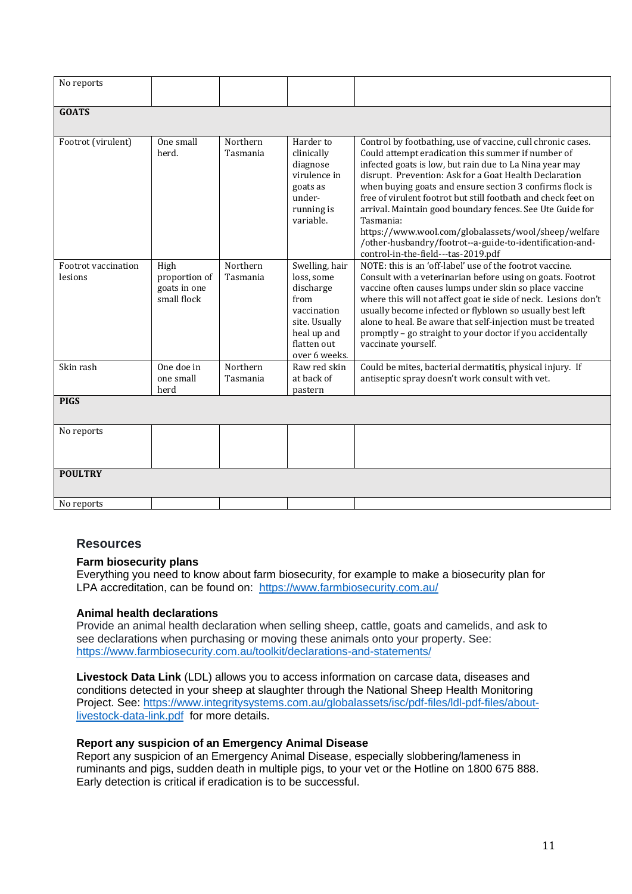| No reports                     |                                                      |                      |                                                                                                                                  |                                                                                                                                                                                                                                                                                                                                                                                                                                                                                                                                                                                                          |
|--------------------------------|------------------------------------------------------|----------------------|----------------------------------------------------------------------------------------------------------------------------------|----------------------------------------------------------------------------------------------------------------------------------------------------------------------------------------------------------------------------------------------------------------------------------------------------------------------------------------------------------------------------------------------------------------------------------------------------------------------------------------------------------------------------------------------------------------------------------------------------------|
| <b>GOATS</b>                   |                                                      |                      |                                                                                                                                  |                                                                                                                                                                                                                                                                                                                                                                                                                                                                                                                                                                                                          |
| Footrot (virulent)             | One small<br>herd.                                   | Northern<br>Tasmania | Harder to<br>clinically<br>diagnose<br>virulence in<br>goats as<br>under-<br>running is<br>variable.                             | Control by footbathing, use of vaccine, cull chronic cases.<br>Could attempt eradication this summer if number of<br>infected goats is low, but rain due to La Nina year may<br>disrupt. Prevention: Ask for a Goat Health Declaration<br>when buying goats and ensure section 3 confirms flock is<br>free of virulent footrot but still footbath and check feet on<br>arrival. Maintain good boundary fences. See Ute Guide for<br>Tasmania:<br>https://www.wool.com/globalassets/wool/sheep/welfare<br>/other-husbandry/footrot--a-guide-to-identification-and-<br>control-in-the-field---tas-2019.pdf |
| Footrot vaccination<br>lesions | High<br>proportion of<br>goats in one<br>small flock | Northern<br>Tasmania | Swelling, hair<br>loss, some<br>discharge<br>from<br>vaccination<br>site. Usually<br>heal up and<br>flatten out<br>over 6 weeks. | NOTE: this is an 'off-label' use of the footrot vaccine.<br>Consult with a veterinarian before using on goats. Footrot<br>vaccine often causes lumps under skin so place vaccine<br>where this will not affect goat ie side of neck. Lesions don't<br>usually become infected or flyblown so usually best left<br>alone to heal. Be aware that self-injection must be treated<br>promptly - go straight to your doctor if you accidentally<br>vaccinate yourself.                                                                                                                                        |
| Skin rash                      | One doe in<br>one small<br>herd                      | Northern<br>Tasmania | Raw red skin<br>at back of<br>pastern                                                                                            | Could be mites, bacterial dermatitis, physical injury. If<br>antiseptic spray doesn't work consult with vet.                                                                                                                                                                                                                                                                                                                                                                                                                                                                                             |
| <b>PIGS</b>                    |                                                      |                      |                                                                                                                                  |                                                                                                                                                                                                                                                                                                                                                                                                                                                                                                                                                                                                          |
| No reports                     |                                                      |                      |                                                                                                                                  |                                                                                                                                                                                                                                                                                                                                                                                                                                                                                                                                                                                                          |
| <b>POULTRY</b>                 |                                                      |                      |                                                                                                                                  |                                                                                                                                                                                                                                                                                                                                                                                                                                                                                                                                                                                                          |
| No reports                     |                                                      |                      |                                                                                                                                  |                                                                                                                                                                                                                                                                                                                                                                                                                                                                                                                                                                                                          |

# **Resources**

#### **Farm biosecurity plans**

Everything you need to know about farm biosecurity, for example to make a biosecurity plan for LPA accreditation, can be found on: <https://www.farmbiosecurity.com.au/>

#### **Animal health declarations**

Provide an animal health declaration when selling sheep, cattle, goats and camelids, and ask to see declarations when purchasing or moving these animals onto your property. See: <https://www.farmbiosecurity.com.au/toolkit/declarations-and-statements/>

**Livestock Data Link** (LDL) allows you to access information on carcase data, diseases and conditions detected in your sheep at slaughter through the National Sheep Health Monitoring Project. See: [https://www.integritysystems.com.au/globalassets/isc/pdf-files/ldl-pdf-files/about](https://www.integritysystems.com.au/globalassets/isc/pdf-files/ldl-pdf-files/about-livestock-data-link.pdf)[livestock-data-link.pdf](https://www.integritysystems.com.au/globalassets/isc/pdf-files/ldl-pdf-files/about-livestock-data-link.pdf) for more details.

#### **Report any suspicion of an Emergency Animal Disease**

Report any suspicion of an Emergency Animal Disease, especially slobbering/lameness in ruminants and pigs, sudden death in multiple pigs, to your vet or the Hotline on 1800 675 888. Early detection is critical if eradication is to be successful.